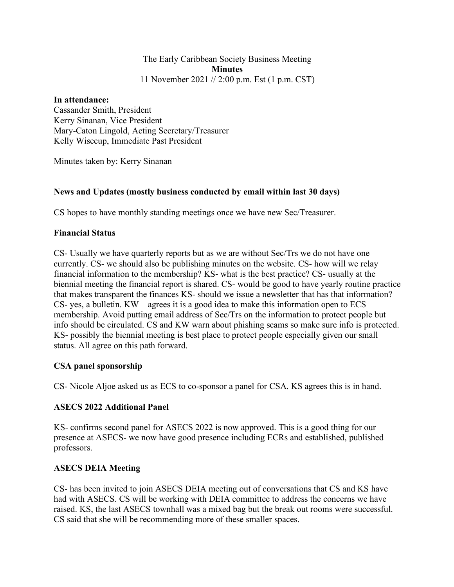#### The Early Caribbean Society Business Meeting **Minutes** 11 November 2021 // 2:00 p.m. Est (1 p.m. CST)

#### **In attendance:**

Cassander Smith, President Kerry Sinanan, Vice President Mary-Caton Lingold, Acting Secretary/Treasurer Kelly Wisecup, Immediate Past President

Minutes taken by: Kerry Sinanan

## **News and Updates (mostly business conducted by email within last 30 days)**

CS hopes to have monthly standing meetings once we have new Sec/Treasurer.

## **Financial Status**

CS- Usually we have quarterly reports but as we are without Sec/Trs we do not have one currently. CS- we should also be publishing minutes on the website. CS- how will we relay financial information to the membership? KS- what is the best practice? CS- usually at the biennial meeting the financial report is shared. CS- would be good to have yearly routine practice that makes transparent the finances KS- should we issue a newsletter that has that information? CS- yes, a bulletin. KW – agrees it is a good idea to make this information open to ECS membership. Avoid putting email address of Sec/Trs on the information to protect people but info should be circulated. CS and KW warn about phishing scams so make sure info is protected. KS- possibly the biennial meeting is best place to protect people especially given our small status. All agree on this path forward.

## **CSA panel sponsorship**

CS- Nicole Aljoe asked us as ECS to co-sponsor a panel for CSA. KS agrees this is in hand.

## **ASECS 2022 Additional Panel**

KS- confirms second panel for ASECS 2022 is now approved. This is a good thing for our presence at ASECS- we now have good presence including ECRs and established, published professors.

## **ASECS DEIA Meeting**

CS- has been invited to join ASECS DEIA meeting out of conversations that CS and KS have had with ASECS. CS will be working with DEIA committee to address the concerns we have raised. KS, the last ASECS townhall was a mixed bag but the break out rooms were successful. CS said that she will be recommending more of these smaller spaces.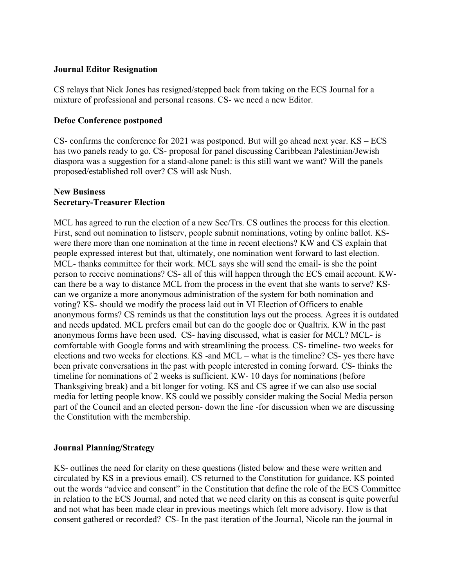#### **Journal Editor Resignation**

CS relays that Nick Jones has resigned/stepped back from taking on the ECS Journal for a mixture of professional and personal reasons. CS- we need a new Editor.

#### **Defoe Conference postponed**

CS- confirms the conference for 2021 was postponed. But will go ahead next year. KS – ECS has two panels ready to go. CS- proposal for panel discussing Caribbean Palestinian/Jewish diaspora was a suggestion for a stand-alone panel: is this still want we want? Will the panels proposed/established roll over? CS will ask Nush.

#### **New Business Secretary-Treasurer Election**

MCL has agreed to run the election of a new Sec/Trs. CS outlines the process for this election. First, send out nomination to listserv, people submit nominations, voting by online ballot. KSwere there more than one nomination at the time in recent elections? KW and CS explain that people expressed interest but that, ultimately, one nomination went forward to last election. MCL- thanks committee for their work. MCL says she will send the email- is she the point person to receive nominations? CS- all of this will happen through the ECS email account. KWcan there be a way to distance MCL from the process in the event that she wants to serve? KScan we organize a more anonymous administration of the system for both nomination and voting? KS- should we modify the process laid out in VI Election of Officers to enable anonymous forms? CS reminds us that the constitution lays out the process. Agrees it is outdated and needs updated. MCL prefers email but can do the google doc or Qualtrix. KW in the past anonymous forms have been used. CS- having discussed, what is easier for MCL? MCL- is comfortable with Google forms and with streamlining the process. CS- timeline- two weeks for elections and two weeks for elections. KS -and MCL – what is the timeline? CS- yes there have been private conversations in the past with people interested in coming forward. CS- thinks the timeline for nominations of 2 weeks is sufficient. KW- 10 days for nominations (before Thanksgiving break) and a bit longer for voting. KS and CS agree if we can also use social media for letting people know. KS could we possibly consider making the Social Media person part of the Council and an elected person- down the line -for discussion when we are discussing the Constitution with the membership.

#### **Journal Planning/Strategy**

KS- outlines the need for clarity on these questions (listed below and these were written and circulated by KS in a previous email). CS returned to the Constitution for guidance. KS pointed out the words "advice and consent" in the Constitution that define the role of the ECS Committee in relation to the ECS Journal, and noted that we need clarity on this as consent is quite powerful and not what has been made clear in previous meetings which felt more advisory. How is that consent gathered or recorded? CS- In the past iteration of the Journal, Nicole ran the journal in